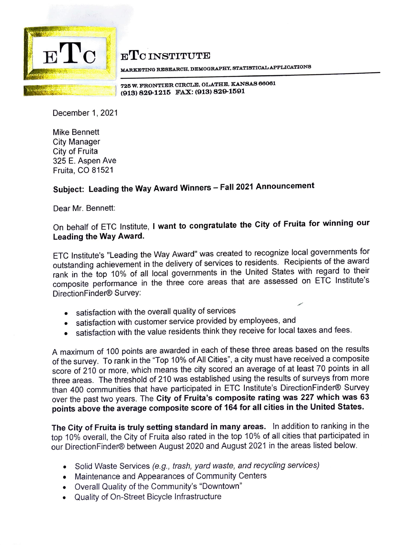

**E'I'C INSTITUTE** 

**MARKETING REBl!lAROH, DEMOGRAPHY, BTATIBTIOALAPPLIOATIONB** 

**72~ W. FRONTIER CIRCLE, OLATHE, KANSAS 66061**  \_ ....,. '"" . ' - **(913) 829-1215 FAX: (913) 829-1591** 

December 1, 2021

Mike Bennett City Manager City of Fruita 325 E. Aspen Ave Fruita, CO 81521

## **Subject: Leading the Way Award Winners** - **Fall 2021 Announcement**

Dear Mr. Bennett:

## On behalf of ETC Institute, I **want to congratulate the City of Fruita for winning our Leading the Way Award.**

ETC lnstitute's "Leading the Way Award" was created to recognize local governments for outstanding achievement in the delivery of services to residents. Recipients of the award rank in the top 10% of all local governments in the United States with regard to their composite performance in the three core areas that are assessed on ETC lnstitute's DirectionFinder® Survey:

- satisfaction with the overall quality of services
- satisfaction with customer service provided by employees, and
- satisfaction with the value residents think they receive for local taxes and fees.

A maximum of 100 points are awarded in each of these three areas based on the results of the survey. To rank in the "Top 10% of All Cities", a city must have received a composite score of 210 or more, which means the city scored an average of at least 70 points in all three areas. The threshold of 210 was established using the results of surveys from more than 400 communities that have participated in ETC lnstitute's DirectionFinder® Survey over the past two years. The **City of Fruita's composite rating was 227 which was 63 points above the average composite score of 164 for all cities in the United States.** 

**The City of Fruita is truly setting standard in many areas.** In addition to ranking in the top 10% overall, the City of Fruita also rated in the top 10% of all cities that participated in our DirectionFinder® between August 2020 and August 2021 in the areas listed below.

- Solid Waste Services *(e.g., trash, yard waste, and recycling services)*
- Maintenance and Appearances of Community Centers
- Overall Quality of the Community's "Downtown"
- Quality of On-Street Bicycle Infrastructure